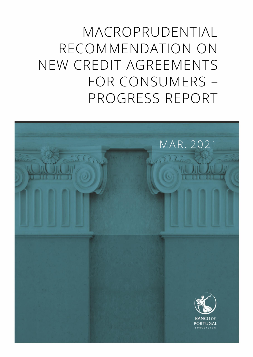MACROPRUDENTIAL RECOMMENDATION ON NEW CREDIT AGREEMENTS FOR CONSUMERS – PROGRESS REPORT

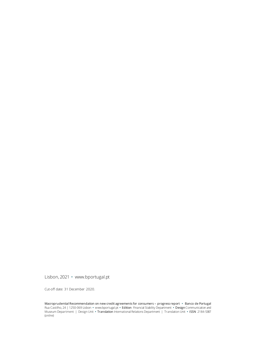Lisbon, 2021 • [www.bportugal.pt](file://///bdp.pt/dfs/dcm/grupos/DCMPI/Ativo/Publicacoes/Relatorios/Novo%20layout%202018/Template/www.bportugal.pt)

Cut-off date: 31 December 2020.

Macroprudential Recommendation on new credit agreements for consumers – progress report **•** Banco de Portugal Rua Castilho, 24 | 1250-069 Lisbon **•** www.bportugal.pt **•** Edition Financial Stability Department **•** Design Communication and Museum Department | Design Unit **•** Translation International Relations Department | Translation Unit **•** ISSN 2184-5387 (*online*)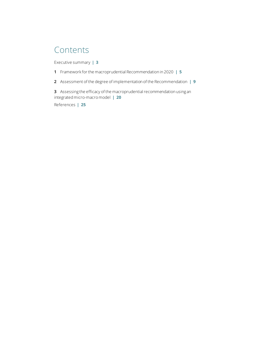## Contents

[Executive summary](#page-4-0) **| 3**

- **1** [Framework for the macroprudential Recommendation in 2020](#page-6-0) **| 5**
- **2** Assessment [of the degree of implementation of the Recommendation](#page-10-0) **| 9**

**3** Assessing [the efficacy of the macroprudential recommendation using an](#page-21-0)  [integrated micro-macro model](#page-21-0) **| 20**

[References](#page-26-0) **| 25**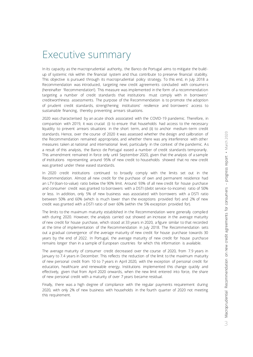## <span id="page-4-0"></span>Executive summary

In its capacity as the macroprudential authority, the Banco de Portugal aims to mitigate the buildup of systemic risk within the financial system and thus contribute to preserve financial stability. This objective is pursued through its macroprudential policy strategy. To this end, in July 2018 a Recommendation was introduced, targeting new credit agreements concluded with consumers (hereinafter 'Recommendation'). This measure was implemented in the form of a recommendation targeting a number of credit standards that institutions must comply with in borrowers' creditworthiness assessments. The purpose of the Recommendation is to promote the adoption of prudent credit standards, strengthening institutions' resilience and borrowers' access to sustainable financing, thereby preventing arrears situations.

2020 was characterised by an acute shock associated with the COVID-19 pandemic. Therefore, in comparison with 2019, it was crucial: (i) to ensure that households had access to the necessary liquidity to prevent arrears situations in the short term, and (ii) to anchor medium-term credit standards. Hence, over the course of 2020 it was assessed whether the design and calibration of the Recommendation remained appropriate, and whether there was any interference with other measures taken at national and international level, particularly in the context of the pandemic. As a result of this analysis, the Banco de Portugal eased a number of credit standards temporarily. This amendment remained in force only until September 2020, given that the analysis of a sample of institutions representing around 95% of new credit to households showed that no new credit was granted under these eased standards.

In 2020 credit institutions continued to broadly comply with the limits set out in the Recommendation. Almost all new credit for the purchase of own and permanent residence had an LTV (loan-to-value) ratio below the 90% limit. Around 93% of all new credit for house purchase and consumer credit was granted to borrowers with a DSTI (debt service-to-income) ratio of 50% or less. In addition, only 5% of new business was associated with borrowers with a DSTI ratio between 50% and 60% (which is much lower than the exceptions provided for) and 2% of new credit was granted with a DSTI ratio of over 60% (within the 5% exception provided for).

The limits to the maximum maturity established in the Recommendation were generally complied with during 2020. However, the analysis carried out showed an increase in the average maturity of new credit for house purchase, which stood at 33 years in 2020, a figure similar to that recorded at the time of implementation of the Recommendation in July 2018. The Recommendation sets out a gradual convergence of the average maturity of new credit for house purchase towards 30 years by the end of 2022. In Portugal, the average maturity of new credit for house purchase remains longer than in a sample of European countries for which this information is available.

The average maturity of consumer credit decreased over the course of 2020, from 7.9 years in January to 7.4 years in December. This reflects the reduction of the limit to the maximum maturity of new personal credit from 10 to 7 years in April 2020, with the exception of personal credit for education, healthcare and renewable energy. Institutions implemented this change quickly and effectively, given that from April 2020 onwards, when the new limit entered into force, the share of new personal credit with a maturity of over 7 years became residual.

Finally, there was a high degree of compliance with the regular payments requirement during 2020, with only 2% of new business with households in the fourth quarter of 2020 not meeting this requirement.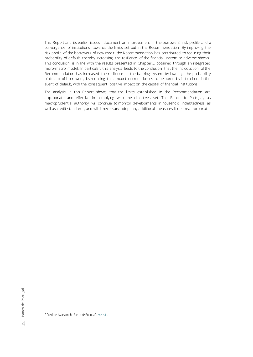This Report and its earlier issues**<sup>1</sup>** document an improvement in the borrowers' risk profile and a convergence of institutions towards the limits set out in the Recommendation. By improving the risk profile of the borrowers of new credit, the Recommendation has contributed to reducing their probability of default, thereby increasing the resilience of the financial system to adverse shocks. This conclusion is in line with the results presented in Chapter 3, obtained through an integrated micro-macro model. In particular, this analysis leads to the conclusion that the introduction of the Recommendation has increased the resilience of the banking system by lowering the probability of default of borrowers, by reducing the amount of credit losses to be borne by institutions in the event of default, with the consequent positive impact on the capital of financial institutions.

The analysis in this Report shows that the limits established in the Recommendation are appropriate and effective in complying with the objectives set. The Banco de Portugal, as macroprudential authority, will continue to monitor developments in household indebtedness, as well as credit standards, and will if necessary adopt any additional measures it deems appropriate.

.

**1** Previous issues on the Banco de Portugal's [website](https://www.bportugal.pt/en/publications/banco-de-portugal/all/8591).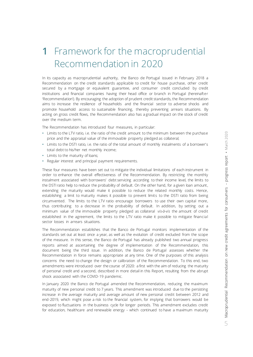<span id="page-6-0"></span>In its capacity as macroprudential authority, the Banco de Portugal issued in February 2018 a Recommendation on the credit standards applicable to credit for house purchase, other credit secured by a mortgage or equivalent guarantee, and consumer credit concluded by credit institutions and financial companies having their head office or branch in Portugal (hereinafter 'Recommendation'). By encouraging the adoption of prudent credit standards, the Recommendation aims to increase the resilience of households and the financial sector to adverse shocks and promote household access to sustainable financing, thereby preventing arrears situations. By acting on gross credit flows, the Recommendation also has a gradual impact on the stock of credit over the medium term.

The Recommendation has introduced four measures, in particular:

- **•** Limits to the LTV ratio, i.e. the ratio of the credit amount to the minimum between the purchase price and the appraisal value of the immovable property pledged as collateral;
- **•** Limits to the DSTI ratio, i.e. the ratio of the total amount of monthly instalments of a borrower's total debt to his/her net monthly income;
- **•** Limits to the maturity of loans;
- **•** Regular interest and principal payment requirements.

These four measures have been set out to mitigate the individual limitations of each instrument in order to enhance the overall effectiveness of the Recommendation. By restricting the monthly instalment associated with borrowers' debt servicing according to their income level, the limits to the DSTI ratio help to reduce the probability of default. On the other hand, for a given loan amount, extending the maturity would make it possible to reduce the related monthly costs. Hence, establishing a limit to maturity makes it possible to prevent limits to the DSTI ratio from being circumvented. The limits to the LTV ratio encourage borrowers to use their own capital more, thus contributing to a decrease in the probability of default. In addition, by setting out a minimum value of the immovable property pledged as collateral *vis-à-vis* the amount of credit established in the agreement, the limits to the LTV ratio make it possible to mitigate financial sector losses in arrears situations.

The Recommendation establishes that the Banco de Portugal monitors implementation of the standards set out at least once a year, as well as the evolution of credit excluded from the scope of the measure. In this sense, the Banco de Portugal has already published two annual progress reports aimed at ascertaining the degree of implementation of the Recommendation, this document being the third issue. In addition, the Banco de Portugal assesses whether the Recommendation in force remains appropriate at any time. One of the purposes of this analysis concerns the need to change the design or calibration of the Recommendation. To this end, two amendments were introduced over the course of 2020: a first with the aim of reducing the maturity of personal credit and a second, described in more detail in this Report, resulting from the abrupt shock associated with the COVID-19 pandemic.

In January 2020 the Banco de Portugal amended the Recommendation, reducing the maximum maturity of new personal credit to 7 years. This amendment was introduced due to the persisting increase in the average maturity and average amount of new personal credit between 2012 and end-2019, which might pose a risk to the financial system, for implying that borrowers would be exposed to fluctuations in the business cycle for longer periods. This amendment excludes credit for education, healthcare and renewable energy – which continued to have a maximum maturity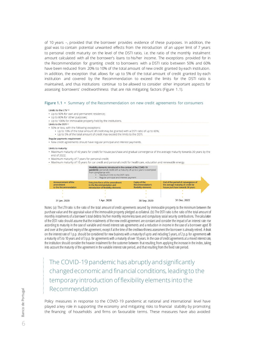of 10 years –, provided that the borrower provides evidence of these purposes. In addition, the goal was to contain potential unwanted effects from the introduction of an upper limit of 7 years to personal credit maturity on the level of the DSTI ratio, i.e. the ratio of the monthly instalment amount calculated with all the borrower's loans to his/her income. The exceptions provided for in the Recommendation for granting credit to borrowers with a DSTI ratio between 50% and 60% have been reduced from 20% to 10% of the total amount of new credit granted by each institution. In addition, the exception that allows for up to 5% of the total amount of credit granted by each institution and covered by the Recommendation to exceed the limits for the DSTI ratio is maintained, and thus institutions continue to be allowed to consider other important aspects for assessing borrowers' creditworthiness that are risk mitigating factors (Figure 1.1).

#### **Figure 1.1 •** Summary of the Recommendation on new credit agreements for consumers

#### I imits to the ITV (a)

- Up to 90% for own and permanent residence;
- Up to 80% for other purposes; • Up to 100% for immovable property held by the institutions
- Limits to the DSTL®
- · 50% or less, with the following exceptions:
- . Up to 10% of the total amount of credit may be granted with a DSTI ratio of up to 60%;
- Up to 5% of the total amount of credit may exceed the limits to the DSTI.

#### Regular payments requirement

• New credit agreements should have regular principal and interest payments

#### Limits to maturity:

- · Maximum maturity of 40 years for credit for house purchase and gradual convergence of the average maturity towards 30 years by the end of 2022:
- Maximum maturity of 7 years for personal credit:
- Maximum maturity of 10 years for car credit and personal credit for healthcare, education and renewable energy.

|                                                           | Flexibility elements introduced in the context of the COVID-19<br>pandemic: personal credit with a maturity of up to 2 years is exempted<br>from compliance with:<br>Maximum limit to the DSTI ratio<br>Regular principal and interest payment |                                                           |                                                                                                              |  |
|-----------------------------------------------------------|------------------------------------------------------------------------------------------------------------------------------------------------------------------------------------------------------------------------------------------------|-----------------------------------------------------------|--------------------------------------------------------------------------------------------------------------|--|
| Announcement of the<br>amendment<br>to the Recommendation | Entry into force of the amendment<br>to the Recommendation and<br>introduction of flexibility elements                                                                                                                                         | Expiry of the<br>Recommendation's<br>flexibility elements | End of the period of convergence of<br>the average maturity of credit for<br>house purchase towards 30 years |  |
|                                                           |                                                                                                                                                                                                                                                |                                                           |                                                                                                              |  |
|                                                           |                                                                                                                                                                                                                                                |                                                           |                                                                                                              |  |
|                                                           |                                                                                                                                                                                                                                                |                                                           |                                                                                                              |  |
| 31 Jan. 2020                                              | Apr. 2020                                                                                                                                                                                                                                      | 30 Sep. 2020                                              | 31 Dec. 2022                                                                                                 |  |

Notes: (a) The LTV ratio is the ratio of the total amount of credit agreements secured by immovable property to the minimum between the purchase value and the appraisal value of the immovable property pledged ascollateral. (b) The DSTI ratio is the ratio of the total amount of monthly instalments of a borrower's total debt to his/her monthly income less taxes and compulsory social security contributions. The calculation of the DSTI ratio should assume that the instalments of the new credit agreement are constant and consider the impact of an interest rate rise according to maturity in the case of variable and mixed interest rate agreements and a reduction in income in the case of a borrower aged 70 and over at the planned expiry of the agreement, except if at the time of the creditworthiness assessment the borrower is already retired. A shock on the interest rate of 1 p.p. should be considered for new business with a maturity of up to and including 5 years, of 2 p.p. for agreements with a maturity of 5 to 10 years and of 3 p.p. for agreements with a maturity of over 10 years. In the case of credit agreements at a mixed interest rate, the institution should consider the heavier instalment for the customer between that resulting from applying the increase in the index, taking into account the maturity of the agreement in the variable interest rate period, and that resulting from the fixed rate period.

The COVID-19 pandemic has abruptly and significantly changed economic and financial conditions, leading to the temporary introduction of flexibility elements into the Recommendation

Policy measures in response to the COVID-19 pandemic at national and international level have played a key role in supporting the economy and mitigating risks to financial stability by promoting the financing of households and firms on favourable terms. These measures have also avoided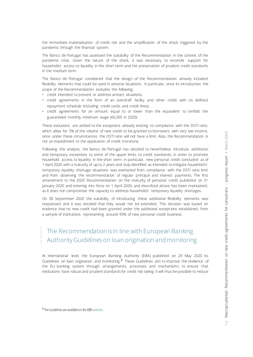the immediate materialisation of credit risk and the amplification of the shock triggered by the pandemic through the financial system.

The Banco de Portugal has assessed the suitability of the Recommendation in the context of the pandemic crisis. Given the nature of the shock, it was necessary to reconcile support for households' access to liquidity in the short term and the preservation of prudent credit standards in the medium term.

The Banco de Portugal considered that the design of the Recommendation already included flexibility elements that could be used in adverse situations. In particular, since its introduction the scope of the Recommendation excludes the following:

- **•** credit intended to prevent or address arrears situations;
- **•** credit agreements in the form of an overdraft facility and other credit with no defined repayment schedule (including credit cards and credit lines);
- **•** credit agreements for an amount equal to or lower than the equivalent to tenfold the guaranteed monthly minimum wage (€6,350 in 2020).

These exclusions are added to the exceptions already existing to compliance with the DSTI ratio, which allow for 5% of the volume of new credit to be granted to borrowers with very low income, since under these circumstances the DSTI ratio will not have a limit. Also, the Recommendation is not an impediment to the application of credit moratoria.

Following this analysis, the Banco de Portugal has decided to nevertheless introduce additional and temporary exceptions to some of the upper limits to credit standards, in order to promote household access to liquidity in the short term. In particular, new personal credit concluded as of 1 April 2020 with a maturity of up to 2 years and duly identified as intended to mitigate household s' temporary liquidity shortage situations was exempted from compliance with the DSTI ratio limit and from observing the recommendation of regular principal and interest payments. The first amendment to the 2020 Recommendation on the maturity of personal credit published on 31 January 2020 and entering into force on 1 April 2020, and described above, has been maintained , as it does not compromise the capacity to address households' temporary liquidity shortages.

On 30 September 2020 the suitability of introducing these additional flexibility elements was reassessed and it was decided that they would not be extended. This decision was based on evidence that no new credit had been granted under the additional exceptions established, from a sample of institutions representing around 95% of new personal credit business.

### The Recommendation is in line with European Banking Authority Guidelines on loan origination and monitoring

At international level, the European Banking Authority (EBA) published on 29 May 2020 its Guidelines on loan origination and monitoring.**<sup>2</sup>** These Guidelines aim to improve the resilience of the EU banking system through arrangements, processes and mechanisms to ensure that institutions have robust and prudent standards for credit risk taking. It will thus be possible to reduce

**2** The Guidelines are available on the EBA's [website.](https://www.eba.europa.eu/regulation-and-policy/credit-risk/guidelines-on-loan-origination-and-monitoring)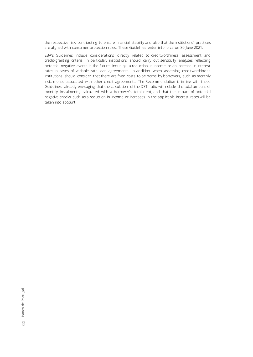the respective risk, contributing to ensure financial stability and also that the institutions' practices are aligned with consumer protection rules. These Guidelines enter into force on 30 June 2021.

EBA's Guidelines include considerations directly related to creditworthiness assessment and credit-granting criteria. In particular, institutions should carry out sensitivity analyses reflecting potential negative events in the future, including a reduction in income or an increase in interest rates in cases of variable rate loan agreements. In addition, when assessing creditworthiness institutions should consider that there are fixed costs to be borne by borrowers, such as monthly instalments associated with other credit agreements. The Recommendation is in line with these Guidelines, already envisaging that the calculation of the DSTI ratio will include the total amount of monthly instalments, calculated with a borrower's total debt, and that the impact of potential negative shocks such as a reduction in income or increases in the applicable interest rates will be taken into account.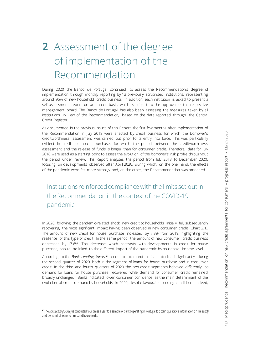# <span id="page-10-0"></span>**2** Assessment of the degree of implementation of the Recommendation

During 2020 the Banco de Portugal continued to assess the Recommendation's degree of implementation through monthly reporting by 13 previously scrutinised institutions, representing around 95% of new household credit business. In addition, each institution is asked to present a self-assessment report on an annual basis, which is subject to the approval of the respective management board. The Banco de Portugal has also been assessing the measures taken by all institutions in view of the Recommendation, based on the data reported through the Central Credit Register.

As documented in the previous issues of this Report, the first few months after implementation of the Recommendation in July 2018 were affected by credit business for which the borrower's creditworthiness assessment was carried out prior to its entry into force. This was particularly evident in credit for house purchase, for which the period between the creditworthiness assessment and the release of funds is longer than for consumer credit. Therefore, data for July 2018 were used as a starting point to assess the evolution of the borrower's risk profile throughout the period under review. This Report analyses the period from July 2018 to December 2020, focusing on developments observed after April 2020, during which, on the one hand, the effects of the pandemic were felt more strongly and, on the other, the Recommendation was amended.

Institutions reinforced compliance with the limits set out in the Recommendation in the context of the COVID-19 pandemic

In 2020, following the pandemic-related shock, new credit to households initially fell, subsequently recovering, the most significant impact having been observed in new consumer credit (Chart 2.1). The amount of new credit for house purchase increased by 7.3% from 2019, highlighting the resilience of this type of credit. In the same period, the amount of new consumer credit business decreased by 17.6%. This decrease, which contrasts with developments in credit for house purchase, should be linked to the different impact of the pandemic by household income level.

According to the *Bank Lending Survey*, **<sup>3</sup>** household demand for loans declined significantly during the second quarter of 2020, both in the segment of loans for house purchase and in consumer credit. In the third and fourth quarters of 2020 the two credit segments behaved differently, as demand for loans for house purchase recovered while demand for consumer credit remained broadly unchanged. Banks indicated lower consumer confidence as the main determinant of the evolution of credit demand by households in 2020, despite favourable lending conditions. Indeed,

**3** The *Bank Lending Survey* is conducted four times a year to a sample of banks operating in Portugal to obtain qualitative information on the supply and demand of loans to firms and households.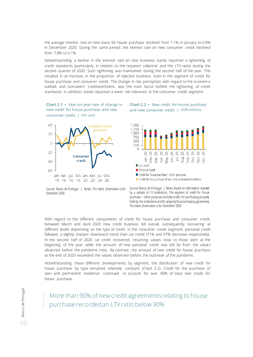the average interest rate on new loans for house purchase declined from 1.1% in January to 0.8% in December 2020. During the same period, the interest rate on new consumer credit declined from 7.0% to 6.1%.

Notwithstanding a decline in the interest rate on new business, banks reported a tightening of credit standards (particularly in relation to the required collateral and the LTV ratio) during the second quarter of 2020. Such tightening was maintained during the second half of the year. This resulted in an increase in the proportion of rejected business, both in the segment of credit for house purchase and consumer credit. The change in risk perception with regard to the economic outlook and borrowers' creditworthiness was the main factor behind the tightening of credit standards. In addition, banks reported a lower risk tolerance in the consumer credit segment.

**Chart 2.1 •** Year-on-year rate of change in new credit for house purchase and new consumer credit | Per cent



**Chart 2.2 •** New credit for house purchase and new consumer credit | EUR millions



Source: Banco de Portugal. | Notes: The latest observation is for December 2020.

Source: Banco de Portugal. | Notes: Based on information reported by a sample of 13 institutions. The segment of credit for house purchase – other purposes includes credit for purchasing property held by the institutions and for property financial leasing agreements. The latest observation is for December 2020.

With regard to the different components of credit for house purchase and consumer credit, between March and April 2020 new credit business fell overall, subsequently recovering at different levels depending on the type of credit. In the consumer credit segment, personal credit followed a slightly sharper downward trend than car credit (71% and 67% decrease respectively). In the second half of 2020 car credit recovered, resuming values close to those seen at the beginning of the year, while the amount of new personal credit was still far from the values observed before the pandemic crisis. By contrast, the amount of new credit for house purchase at the end of 2020 exceeded the values observed before the outbreak of the pandemic.

Notwithstanding these different developments by segment, the distribution of new credit for house purchase by type remained relatively constant (Chart 2.2). Credit for the purchase of own and permanent residence continued to account for over 80% of total new credit for house purchase.

More than 90% of new credit agreements relating to house purchase recorded an LTV ratio below 90%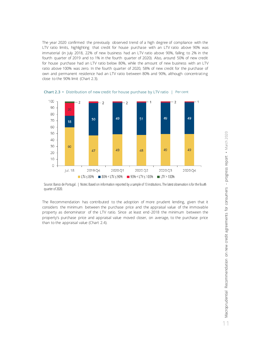The year 2020 confirmed the previously observed trend of a high degree of compliance with the LTV ratio limits, highlighting that credit for house purchase with an LTV ratio above 90% was immaterial (in July 2018, 22% of new business had an LTV ratio above 90%, falling to 2% in the fourth quarter of 2019 and to 1% in the fourth quarter of 2020). Also, around 50% of new credit for house purchase had an LTV ratio below 80%, while the amount of new business with an LTV ratio above 100% was zero. In the fourth quarter of 2020, 58% of new credit for the purchase of own and permanent residence had an LTV ratio between 80% and 90%, although concentrating close to the 90% limit (Chart 2.3).



**Chart 2.3 •** Distribution of new credit for house purchase by LTV ratio | Per cent

The Recommendation has contributed to the adoption of more prudent lending, given that it considers the minimum between the purchase price and the appraisal value of the immovable property as denominator of the LTV ratio. Since at least end-2018 the minimum between the property's purchase price and appraisal value moved closer, on average, to the purchase price than to the appraisal value (Chart 2.4).

Source: Banco de Portugal. | Notes: Based on information reported by a sample of 13 institutions. The latest observation is for the fourth quarter of 2020.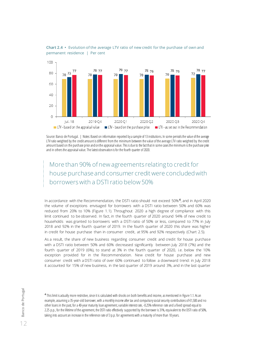

**Chart 2.4 •** Evolution of the average LTV ratio of new credit for the purchase of own and permanent residence | Per cent

Source: Banco de Portugal. | Notes: Based on information reported by a sample of 13 institutions. In some periods the value of the average LTV ratio weighted by the credit amount is different from the minimum between the value of the average LTV ratio weighted by the credit amount based on the purchase price and on the appraisal value. This is due to the fact that in some cases the minimum is the purchase price and in others the appraisal value. The latest observation is for the fourth quarter of 2020.

More than 90% of new agreements relating to credit for house purchase and consumer credit were concluded with borrowers with a DSTI ratio below 50%

In accordance with the Recommendation, the DSTI ratio should not exceed 50%**<sup>4</sup>** , and in April 2020 the volume of exceptions envisaged for borrowers with a DSTI ratio between 50% and 60% was reduced from 20% to 10% (Figure 1.1). Throughout 2020 a high degree of compliance with this limit continued to be observed. In fact, in the fourth quarter of 2020 around 94% of new credit to households was granted to borrowers with a DSTI ratio of 50% or less, compared to 77% in July 2018 and 92% in the fourth quarter of 2019. In the fourth quarter of 2020 this share was higher in credit for house purchase than in consumer credit, at 95% and 92% respectively (Chart 2.5).

As a result, the share of new business regarding consumer credit and credit for house purchase with a DSTI ratio between 50% and 60% decreased significantly between July 2018 (7%) and the fourth quarter of 2019 (6%), to stand at 3% in the fourth quarter of 2020, i.e. below the 10% exception provided for in the Recommendation. New credit for house purchase and new consumer credit with a DSTI ratio of over 60% continued to follow a downward trend: in July 2018 it accounted for 15% of new business, in the last quarter of 2019 around 3%, and in the last quarter

**4** This limit is actually more restrictive, since it is calculated with shocks on both benefits and income, as mentioned in Figure 1.1.As an example, assuming a 35-year-old borrower, with a monthly income after tax and compulsory social security contributions of €1,500 and no other loans in the past, for a 40-year maturity loan agreement, variable interest rate, -0.25% reference rate and a fixed spread equal to 2.25 p.p., for the lifetime of the agreement, the DSTI ratio effectively supported by the borrower is 31%, equivalent to the DSTI ratio of 50%, taking into account an increase in the reference rate of 3 p.p. for agreements with a maturity of more than 10 years.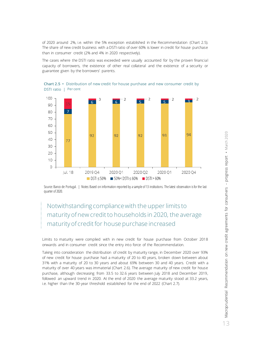of 2020 around 2%, i.e. within the 5% exception established in the Recommendation (Chart 2.5). The share of new credit business with a DSTI ratio of over 60% is lower in credit for house purchase than in consumer credit (2% and 4% in 2020 respectively).

The cases where the DSTI ratio was exceeded were usually accounted for by the proven financial capacity of borrowers, the existence of other real collateral and the existence of a security or guarantee given by the borrowers' parents.



**Chart 2.5 •** Distribution of new credit for house purchase and new consumer credit by DSTI ratio | Per cent

Source: Banco de Portugal. | Notes: Based on information reported by a sample of 13 institutions. The latest observation is for the last quarter of 2020.

### Notwithstanding compliance with the upper limits to maturity of new credit to households in 2020, the average maturity of credit for house purchase increased

Limits to maturity were complied with in new credit for house purchase from October 2018 onwards and in consumer credit since the entry into force of the Recommendation.

Taking into consideration the distribution of credit by maturity range, in December 2020 over 93% of new credit for house purchase had a maturity of 20 to 40 years, broken down between about 31% with a maturity of 20 to 30 years and about 69% between 30 and 40 years. Credit with a maturity of over 40 years was immaterial (Chart 2.6). The average maturity of new credit for house purchase, although decreasing from 33.5 to 32.6 years between July 2018 and December 2019, followed an upward trend in 2020. At the end of 2020 the average maturity stood at 33.2 years, i.e. higher than the 30-year threshold established for the end of 2022 (Chart 2.7).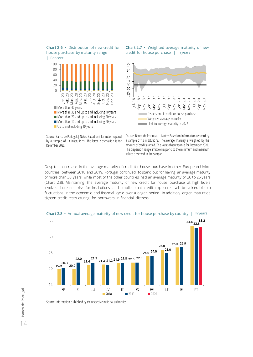**Chart 2.6 •** Distribution of new credit for house purchase by maturity range



Source: Banco de Portugal. | Notes: Based on information reported by a sample of 13 institutions. The latest observation is for December 2020.

**Chart 2.7 •** Weighted average maturity of new credit for house purchase | In years



Source: Banco de Portugal. | Notes: Based on information reported by a sample of 13 institutions. The average maturity is weighted by the amount of credit granted. The latest observation is for December 2020. The dispersion range limits correspond to the minimum and maximum values observed in the sample.

Despite an increase in the average maturity of credit for house purchase in other European Union countries between 2018 and 2019, Portugal continued to stand out for having an average maturity of more than 30 years, while most of the other countries had an average maturity of 20 to 25 years (Chart 2.8). Maintaining the average maturity of new credit for house purchase at high levels involves increased risk for institutions as it implies that credit exposures will be vulnerable to fluctuations in the economic and financial cycle over a longer period. In addition, longer maturities tighten credit restructuring for borrowers in financial distress.



**Chart 2.8 •** Annual average maturity of new credit for house purchase by country | In years

Source: Information published by the respective national authorities.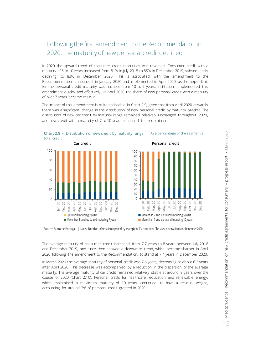### Following the first amendment to the Recommendation in 2020, the maturity of new personal credit declined

In 2020 the upward trend of consumer credit maturities was reversed. Consumer credit with a maturity of 5 to 10 years increased from 81% in July 2018 to 85% in December 2019, subsequently declining to 83% in December 2020. This is associated with the amendment to the Recommendation, announced in January 2020 and implemented in April 2020, as the upper limit for the personal credit maturity was reduced from 10 to 7 years. Institutions implemented this amendment quickly and effectively. In April 2020 the share of new personal credit with a maturity of over 7 years became residual.

The impact of this amendment is quite noticeable in Chart 2.9, given that from April 2020 onward s there was a significant change in the distribution of new personal credit by maturity bracket. The distribution of new car credit by maturity range remained relatively unchanged throughout 2020, and new credit with a maturity of 7 to 10 years continued to predominate.



Source: Banco de Portugal. | Notes: Based on information reported by a sample of 13 institutions. The latest observation is for December 2020.

The average maturity of consumer credit increased from 7.7 years to 8 years between July 2018 and December 2019, and since then showed a downward trend, which became sharper in April 2020 following the amendment to the Recommendation, to stand at 7.4 years in December 2020.

In March 2020 the average maturity of personal credit was 7.6 years, decreasing to about 6.3 years after April 2020. This decrease was accompanied by a reduction in the dispersion of the average maturity. The average maturity of car credit remained relatively stable at around 8 years over the course of 2020 (Chart 2.10). Personal credit for healthcare, education and renewable energy, which maintained a maximum maturity of 10 years, continued to have a residual weight, accounting for around 3% of personal credit granted in 2020.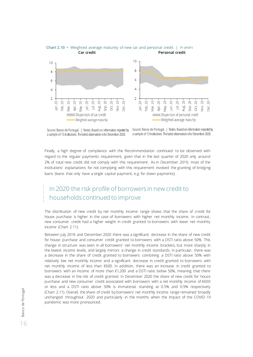



Source: Banco de Portugal. | Notes: Based on information reported by a sample of 13 institutions. The latest observation is for December 2020.

Source: Banco de Portugal. | Notes: Based on information reported by a sample of 13 institutions. The latest observation is for December 2020.

Finally, a high degree of compliance with the Recommendation continued to be observed with regard to the regular payments requirement, given that in the last quarter of 2020 only around 2% of total new credit did not comply with this requirement. As in December 2019, most of the institutions' explanations for not complying with this requirement involved the granting of bridging loans (loans that only have a single capital payment, e.g. for down payments).

### In 2020 the risk profile of borrowers in new credit to households continued to improve

The distribution of new credit by net monthly income range shows that the share of credit for house purchase is higher in the case of borrowers with higher net monthly income. In contrast, new consumer credit had a higher weight in credit granted to borrowers with lower net monthly income (Chart 2.11).

Between July 2018 and December 2020 there was a significant decrease in the share of new credit for house purchase and consumer credit granted to borrowers with a DSTI ratio above 50%. This change in structure was seen in all borrowers' net monthly income brackets, but more sharply in the lowest income levels, and largely mirrors a change in credit standards. In particular, there was a decrease in the share of credit granted to borrowers combining a DSTI ratio above 50% with relatively low net monthly income and a significant decrease in credit granted to borrowers with net monthly income of less than €600. In addition, there was an increase in credit granted to borrowers with an income of more than €1,200 and a DSTI ratio below 50%, meaning that there was a decrease in the risk of credit granted. In December 2020 the share of new credit for house purchase and new consumer credit associated with borrowers with a net monthly income of €600 or less and a DSTI ratio above 50% is immaterial, standing at 0.5% and 0.9% respectively (Chart 2.11). Overall, the share of credit by borrowers' net monthly income range remained broadly unchanged throughout 2020 and particularly in the months when the impact of the COVID-19 pandemic was more pronounced.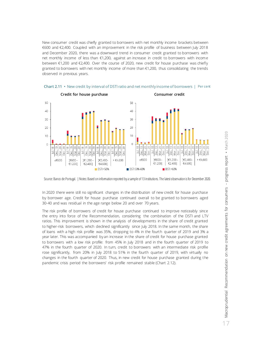New consumer credit was chiefly granted to borrowers with net monthly income brackets between €600 and €2,400. Coupled with an improvement in the risk profile of business between July 2018 and December 2020, there was a downward trend in consumer credit granted to borrowers with net monthly income of less than €1,200, against an increase in credit to borrowers with income between €1,200 and €2,400. Over the course of 2020, new credit for house purchase was chiefly granted to borrowers with net monthly income of more than €1,200, thus consolidating the trends observed in previous years.



**Chart 2.11 •** New credit by interval of DSTI ratio and net monthly income of borrowers | Per cent

In 2020 there were still no significant changes in the distribution of new credit for house purchase by borrower age. Credit for house purchase continued overall to be granted to borrowers aged 30-40 and was residual in the age range below 20 and over 70 years.

The risk profile of borrowers of credit for house purchase continued to improve noticeably since the entry into force of the Recommendation, considering the combination of the DSTI and LTV ratios. This improvement is shown in the analysis of developments in the share of credit granted to higher-risk borrowers, which declined significantly since July 2018. In the same month, the share of loans with a high risk profile was 35%, dropping to 4% in the fourth quarter of 2019 and 3% a year later. This was accompanied by an increase in the share of credit for house purchase granted to borrowers with a low risk profile: from 45% in July 2018 and in the fourth quarter of 2019 to 47% in the fourth quarter of 2020. In turn, credit to borrowers with an intermediate risk profile rose significantly, from 20% in July 2018 to 51% in the fourth quarter of 2019, with virtually no changes in the fourth quarter of 2020. Thus, in new credit for house purchase granted during the pandemic crisis period the borrowers' risk profile remained stable (Chart 2.12).

Source: Banco de Portugal. | Notes: Based on information reported by a sample of 13 institutions. The latest observation is for December 2020.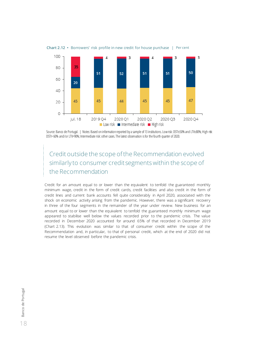

**Chart 2.12 •** Borrowers' risk profile in new credit for house purchase | Per cent

Source: Banco de Portugal. | Notes: Based on information reported by a sample of 13 institutions. Low risk: DSTI≤50% and LTV≤80%; High risk: DSTI> 60% and/or LTV>90%; Intermediate risk: other cases. The latest observation is for the fourth quarter of 2020.

### Credit outside the scope of the Recommendation evolved similarly to consumer credit segments within the scope of the Recommendation

Credit for an amount equal to or lower than the equivalent to tenfold the guaranteed monthly minimum wage, credit in the form of credit cards, credit facilities and also credit in the form of credit lines and current bank accounts fell quite considerably in April 2020, associated with the shock on economic activity arising from the pandemic. However, there was a significant recovery in three of the four segments in the remainder of the year under review. New business for an amount equal to or lower than the equivalent to tenfold the guaranteed monthly minimum wage appeared to stabilise well below the values recorded prior to the pandemic crisis. The value recorded in December 2020 accounted for around 65% of that recorded in December 2019 (Chart 2.13). This evolution was similar to that of consumer credit within the scope of the Recommendation and, in particular, to that of personal credit, which at the end of 2020 did not resume the level observed before the pandemic crisis.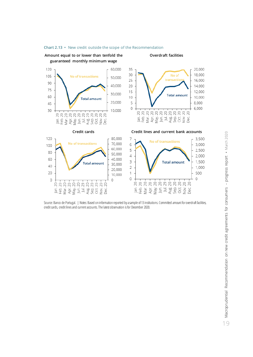

#### **Chart 2.13 •** New credit outside the scope of the Recommendation

Source: Banco de Portugal. | Notes: Based on information reported by a sample of 13 institutions. Committed amount for overdraft facilities, credit cards, credit lines and current accounts. The latest observation is for December 2020.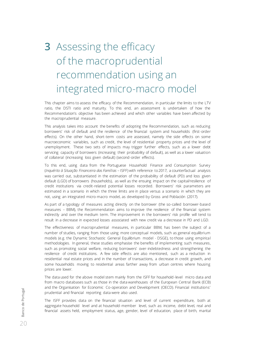# <span id="page-21-0"></span>**3** Assessing the efficacy of the macroprudential recommendation using an integrated micro-macro model

This chapter aims to assess the efficacy of the Recommendation, in particular the limits to the LTV ratio, the DSTI ratio and maturity. To this end, an assessment is undertaken of how the Recommendation's objective has been achieved and which other variables have been affected by the macroprudential measure.

This analysis takes into account the benefits of adopting the Recommendation, such as reducing borrowers' risk of default and the resilience of the financial system and households (first-order effects). On the other hand, short-term costs are assessed, namely the side effects on some macroeconomic variables, such as credit, the level of residential property prices and the level of unemployment. These two sets of impacts may trigger further effects, such as a lower debt servicing capacity of borrowers (increasing their probability of default), as well as a lower valuation of collateral (increasing loss given default) (second-order effects).

To this end, using data from the Portuguese Household Finance and Consumption Survey (*Inquérito à Situação Financeira das Famílias* – ISFF) with reference to 2017, a counterfactual analysis was carried out, substantiated in the estimation of the probability of default (PD) and loss given default (LGD) of borrowers (households), as well as the ensuing impact on the capital/resilience of credit institutions via credit-related potential losses recorded. Borrowers' risk parameters are estimated in a scenario in which the three limits are in place versus a scenario in which they are not, using an integrated micro-macro model, as developed by Gross and Población (2017).

As part of a typology of measures acting directly on the borrower (the so-called borrower-based measures – BBM), the Recommendation aims to improve the resilience of the financial system indirectly and over the medium term. The improvement in the borrowers' risk profile will tend to result in a decrease in expected losses associated with new credit via a decrease in PD and LGD.

The effectiveness of macroprudential measures, in particular BBM, has been the subject of a number of studies, ranging from those using more conceptual models, such as general equilibrium models (e.g. the Dynamic Stochastic General Equilibrium model - DSGE), to those using empirical methodologies. In general, these studies emphasise the benefits of implementing such measures, such as promoting social welfare, reducing borrowers' over-indebtedness and strengthening the resilience of credit institutions. A few side effects are also mentioned, such as a reduction in residential real estate prices and in the number of transactions, a decrease in credit growth, and some households moving to residential areas farther away from urban centres where housing prices are lower.

The data used for the above model stem mainly from the ISFF for household-level micro data and from macro databases such as those in the data warehouses of the European Central Bank (ECB) and the Organisation for Economic Co-operation and Development (OECD). Financial institutions' prudential and financial reporting data were also used.

The ISFF provides data on the financial situation and level of current expenditure, both at aggregate household level and at household-member level, such as: income, debt level, real and financial assets held, employment status, age, gender, level of education, place of birth, marital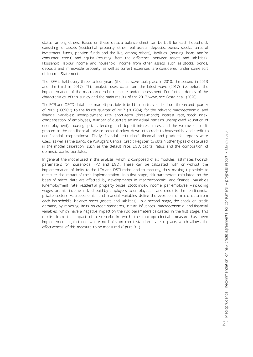status, among others. Based on these data, a balance sheet can be built for each household, consisting of assets (residential property, other real assets, deposits, bonds, stocks, units of investment funds, pension funds and the like, among others), liabilities (housing loans and/or consumer credit) and equity (resulting from the difference between assets and liabilities). Household labour income and household income from other assets, such as stocks, bonds, deposits and immovable property, as well as current expenses, are considered under some sort of 'Income Statement'.

The ISFF is held every three to four years (the first wave took place in 2010, the second in 2013 and the third in 2017). This analysis uses data from the latest wave (2017), i.e. before the implementation of the macroprudential measure under assessment. For further details of the characteristics of this survey and the main results of the 2017 wave, see Costa et al. (2020).

The ECB and OECD databases made it possible to build a quarterly series from the second quarter of 2009 (2009Q2) to the fourth quarter of 2017 (2017Q4) for the relevant macroeconomic and financial variables: unemployment rate, short-term (three-month) interest rate, stock index, compensation of employees, number of quarters an individual remains unemployed (duration of unemployment), housing prices, lending and deposit interest rates, and the volume of credit granted to the non-financial private sector (broken down into credit to households and credit to non-financial corporations). Finally, financial institutions' financial and prudential reports were used, as well as the Banco de Portugal's Central Credit Register, to obtain other types of data used in the model calibration, such as the default rate, LGD, capital ratios and the composition of domestic banks' portfolios.

In general, the model used in this analysis, which is composed of six modules, estimates two risk parameters for households (PD and LGD). These can be calculated with or without the implementation of limits to the LTV and DSTI ratios and to maturity, thus making it possible to measure the impact of their implementation. In a first stage, risk parameters calculated on the basis of micro data are affected by developments in macroeconomic and financial variables (unemployment rate, residential property prices, stock index, income per employee – includ ing wages, premia, income in kind paid by employers to employees – and credit to the non-financial private sector). Macroeconomic and financial variables define the evolution of micro data from each household's balance sheet (assets and liabilities). In a second stage, the shock on credit demand, by imposing limits on credit standards, in turn influences macroeconomic and financial variables, which have a negative impact on the risk parameters calculated in the first stage. This results from the impact of a scenario in which the macroprudential measure has been implemented, against one where no limits on credit standards are in place, which allows the effectiveness of this measure to be measured (Figure 3.1).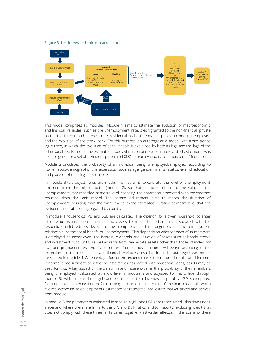**Figure 3.1 •** Integrated micro-macro model



This model comprises six modules. Module 1 aims to estimate the evolution of macroeconomic and financial variables, such as the unemployment rate, credit granted to the non-financial private sector, the three-month interest rate, residential real estate market prices, income per employee and the evolution of the stock index. For this purpose, an autoregressive model with a one-period lag is used, in which the evolution of each variable is explained by both its lags and the lags of the other variables. Based on the estimated model, which contains six equations, a stochastic model was used to generate a set of behaviour patterns (1,000) for each variable, for a horizon of 16 quarters.

Module 2 calculates the probability of an individual being unemployed/employed according to his/her socio-demographic characteristics, such as age, gender, marital status, level of education and place of birth, using a logit model.

In module 3 two adjustments are made. The first aims to calibrate the level of unemployment obtained from the micro model (module 2), so that is moves closer to the value of the unemployment rate recorded at macro level, changing the parameter associated with the constant resulting from the logit model. The second adjustment aims to match the duration of unemployment resulting from the micro model to the estimated duration at macro level that can be found in databases aggregated by country.

In module 4 households' PD and LGD are calculated. The criterion for a given household to enter into default is insufficient income and assets to meet the instalments associated with the respective indebtedness level. Income comprises all that originates in the employment relationship or the social benefit of unemployment. This depends on whether each of its members is employed or unemployed, the interest, dividends and valuation of assets such as bonds, stocks and investment fund units, as well as rents from real estate assets other than those intended for own and permanent residence, and interest from deposits. Income will evolve according to the projection for macroeconomic and financial variables resulting from the autoregressive model developed in module 1. A percentage for current expenditure is taken from the calculated income. If income is not sufficient to settle the instalments associated with household loans, assets may be used for this. A key aspect of the default rate of households is the probability of their members being unemployed (calculated at micro level in module 2 and adjusted to macro level through module 3), which results in a significant reduction in their incomes. In parallel, LGD is computed for households entering into default, taking into account the value of the loan collateral, which evolves according to developments estimated for residential real estate market prices and derives from module 1.

In module 5 the parameters estimated in module 4 (PD and LGD) are recalculated, this time under a scenario where there are limits to the LTV and DSTI ratios and to maturity, excluding credit that does not comply with these three limits taken together (first-order effects). In this scenario there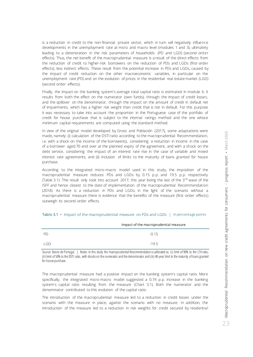is a reduction in credit to the non-financial private sector, which in turn will negatively influence developments in the unemployment rate at micro and macro level (modules 1 and 3), ultimately leading to a deterioration in the risk parameters of households (PD and LGD) (second-ord er effects). Thus, the net benefit of the macroprudential measure is a result of the direct effects from the reduction of credit to higher-risk borrowers on the reduction of PDs and LGDs (first-order effects), less indirect effects. These result from the potential increase in PDs and LGDs, caused by the impact of credit reduction on the other macroeconomic variables, in particular on the unemployment rate (PD) and on the evolution of prices in the residential real estate market (LGD) (second-order effects).

Finally, the impact on the banking system's average total capital ratio is estimated in module 6. It results from both the effect on the numerator (own funds), through the impact of credit losses, and the spillover on the denominator, through the impact on the amount of credit in default net of impairments, which has a higher risk weight than credit that is not in default. For this purpose it was necessary to take into account the proportion in the Portuguese case of the portfolio of credit for house purchase that is subject to the internal ratings method and the one whose minimum capital requirements are computed using the standard method.

In view of the original model developed by Gross and Población (2017), some adaptations were made, namely: (i) calculation of the DSTI ratio according to the macroprudential Recommendation, i.e. with a shock on the income of the borrower(s), considering a reduction in income in the case of a borrower aged 70 and over at the planned expiry of the agreement, and with a shock on the debt service, considering the impact of an interest rate rise in the case of variable and mixed interest rate agreements, and (ii) inclusion of limits to the maturity of loans granted for house purchase.

According to the integrated micro-macro model used in this study, the imposition of the macroprudential measure reduces PDs and LGDs by 0.15 p.p. and 19.5 p.p. respectively (Table 3.1). This result only took into account 2017, this year being the last of the  $3^{rd}$  wave of the ISFF and hence closest to the date of implementation of the macroprudential Recommendation (2018). As there is a reduction in PDs and LGDs, in the light of the scenario without a macroprudential measure there is evidence that the benefits of the measure (first-order effects) outweigh its second-order effects.

|      | Impact of the macroprudential measure |  |  |
|------|---------------------------------------|--|--|
| - PD | $-0.15$                               |  |  |
| LGD  | $-195$                                |  |  |

#### **Table 3.1 •** Impact of the macroprudential measure on PDs and LGDs | In percentage points

Source: Banco de Portugal. | Notes: In this study the macroprudential Recommendation is calibrated as: (i) limit of 90% to the LTV ratio, (ii) limit of 50% to the DSTI ratio, with shocks on the numerator and the denominator and (iii) 40-year limit to the maturity of loans granted for house purchase.

The macroprudential measure had a positive impact on the banking system's capital ratio. More specifically, the integrated micro-macro model suggested a 0.74 p.p. increase in the banking system's capital ratio resulting from the measure (Chart 3.1). Both the numerator and the denominator contributed to this evolution of the capital ratio.

The introduction of the macroprudential measure led to a reduction in credit losses under the scenario with the measure in place, against the scenario with no measure. In addition, the introduction of the measure led to a reduction in risk weights for credit secured by residential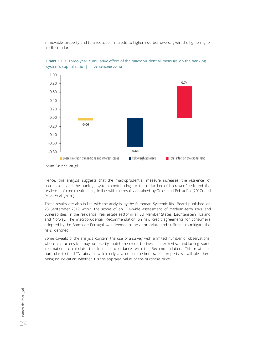immovable property and to a reduction in credit to higher-risk borrowers, given the tightening of credit standards.



**Chart 3.1 •** Three-year cumulative effect of the macroprudential measure on the banking system's capital ratio | In percentage points

Source: Banco de Portugal.

Hence, this analysis suggests that the macroprudential measure increases the resilience of households and the banking system, contributing to the reduction of borrowers' risk and the resilience of credit institutions, in line with the results obtained by Gross and Población (2017) and Pavol et al. (2020).

These results are also in line with the analysis by the European Systemic Risk Board published on 23 September 2019 within the scope of an EEA-wide assessment of medium-term risks and vulnerabilities in the residential real estate sector in all EU Member States, Liechtenstein, Iceland and Norway. The [macroprudential Recommendation on new credit agreements for consumers](https://www.bportugal.pt/en/page/ltv-dsti-and-maturity-limits) adopted by the Banco de Portugal was deemed to be appropriate and sufficient to mitigate the risks identified.

Some caveats of the analysis concern the use of a survey with a limited number of observations, whose characteristics may not exactly match the credit business under review, and lacking some information to calculate the limits in accordance with the Recommendation. This relates in particular to the LTV ratio, for which only a value for the immovable property is available, there being no indication whether it is the appraisal value or the purchase price.